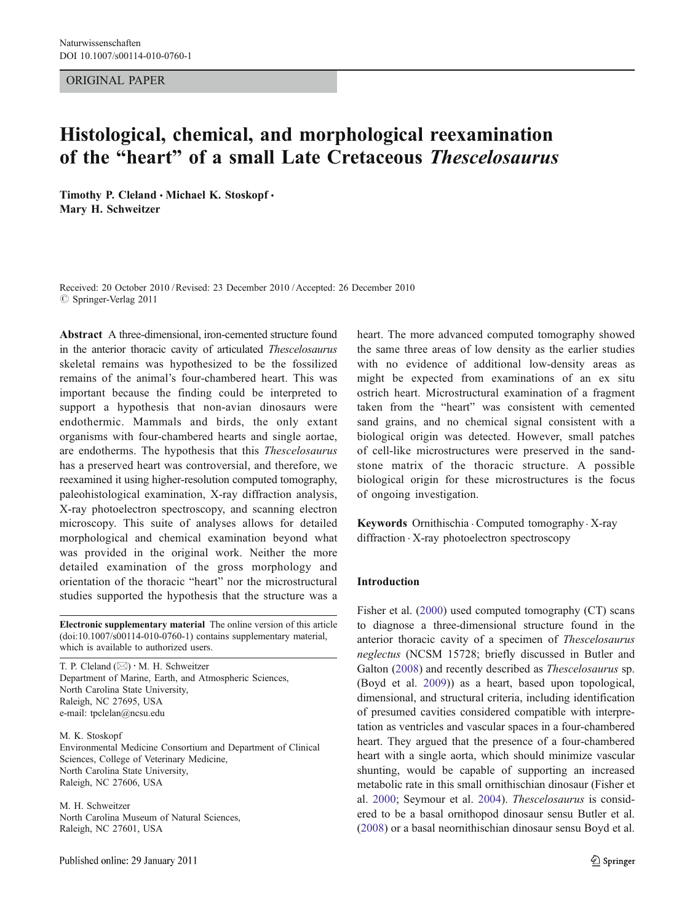### ORIGINAL PAPER

# Histological, chemical, and morphological reexamination of the "heart" of a small Late Cretaceous Thescelosaurus

Timothy P. Cleland · Michael K. Stoskopf · Mary H. Schweitzer

Received: 20 October 2010 /Revised: 23 December 2010 /Accepted: 26 December 2010  $©$  Springer-Verlag 2011

Abstract A three-dimensional, iron-cemented structure found in the anterior thoracic cavity of articulated Thescelosaurus skeletal remains was hypothesized to be the fossilized remains of the animal's four-chambered heart. This was important because the finding could be interpreted to support a hypothesis that non-avian dinosaurs were endothermic. Mammals and birds, the only extant organisms with four-chambered hearts and single aortae, are endotherms. The hypothesis that this Thescelosaurus has a preserved heart was controversial, and therefore, we reexamined it using higher-resolution computed tomography, paleohistological examination, X-ray diffraction analysis, X-ray photoelectron spectroscopy, and scanning electron microscopy. This suite of analyses allows for detailed morphological and chemical examination beyond what was provided in the original work. Neither the more detailed examination of the gross morphology and orientation of the thoracic "heart" nor the microstructural studies supported the hypothesis that the structure was a

Electronic supplementary material The online version of this article (doi:[10.1007/s00114-010-0760-1\)](http://dx.doi.org/10.1007/s00114-010-0760-1) contains supplementary material, which is available to authorized users.

T. P. Cleland  $(\boxtimes) \cdot M$ . H. Schweitzer Department of Marine, Earth, and Atmospheric Sciences, North Carolina State University, Raleigh, NC 27695, USA e-mail: tpclelan@ncsu.edu

M. K. Stoskopf Environmental Medicine Consortium and Department of Clinical Sciences, College of Veterinary Medicine, North Carolina State University, Raleigh, NC 27606, USA

M. H. Schweitzer North Carolina Museum of Natural Sciences, Raleigh, NC 27601, USA

heart. The more advanced computed tomography showed the same three areas of low density as the earlier studies with no evidence of additional low-density areas as might be expected from examinations of an ex situ ostrich heart. Microstructural examination of a fragment taken from the "heart" was consistent with cemented sand grains, and no chemical signal consistent with a biological origin was detected. However, small patches of cell-like microstructures were preserved in the sandstone matrix of the thoracic structure. A possible biological origin for these microstructures is the focus of ongoing investigation.

Keywords Ornithischia . Computed tomography . X-ray diffraction . X-ray photoelectron spectroscopy

## Introduction

Fisher et al. ([2000\)](#page-8-0) used computed tomography (CT) scans to diagnose a three-dimensional structure found in the anterior thoracic cavity of a specimen of Thescelosaurus neglectus (NCSM 15728; briefly discussed in Butler and Galton [\(2008](#page-7-0)) and recently described as Thescelosaurus sp. (Boyd et al. [2009\)](#page-7-0)) as a heart, based upon topological, dimensional, and structural criteria, including identification of presumed cavities considered compatible with interpretation as ventricles and vascular spaces in a four-chambered heart. They argued that the presence of a four-chambered heart with a single aorta, which should minimize vascular shunting, would be capable of supporting an increased metabolic rate in this small ornithischian dinosaur (Fisher et al. [2000](#page-8-0); Seymour et al. [2004\)](#page-8-0). Thescelosaurus is considered to be a basal ornithopod dinosaur sensu Butler et al. [\(2008](#page-7-0)) or a basal neornithischian dinosaur sensu Boyd et al.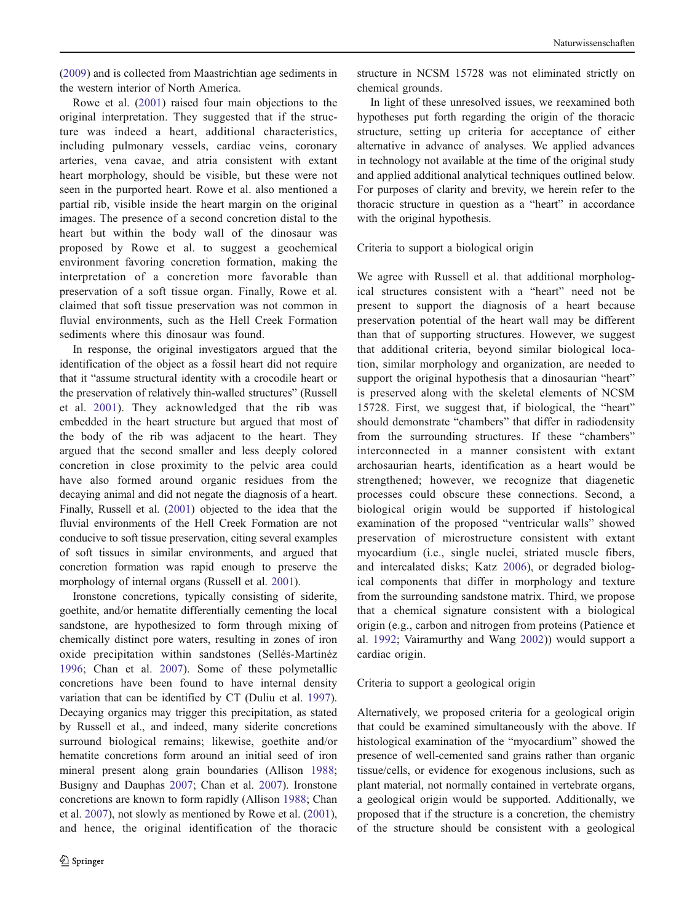[\(2009](#page-7-0)) and is collected from Maastrichtian age sediments in the western interior of North America.

Rowe et al. ([2001\)](#page-8-0) raised four main objections to the original interpretation. They suggested that if the structure was indeed a heart, additional characteristics, including pulmonary vessels, cardiac veins, coronary arteries, vena cavae, and atria consistent with extant heart morphology, should be visible, but these were not seen in the purported heart. Rowe et al. also mentioned a partial rib, visible inside the heart margin on the original images. The presence of a second concretion distal to the heart but within the body wall of the dinosaur was proposed by Rowe et al. to suggest a geochemical environment favoring concretion formation, making the interpretation of a concretion more favorable than preservation of a soft tissue organ. Finally, Rowe et al. claimed that soft tissue preservation was not common in fluvial environments, such as the Hell Creek Formation sediments where this dinosaur was found.

In response, the original investigators argued that the identification of the object as a fossil heart did not require that it "assume structural identity with a crocodile heart or the preservation of relatively thin-walled structures" (Russell et al. [2001\)](#page-8-0). They acknowledged that the rib was embedded in the heart structure but argued that most of the body of the rib was adjacent to the heart. They argued that the second smaller and less deeply colored concretion in close proximity to the pelvic area could have also formed around organic residues from the decaying animal and did not negate the diagnosis of a heart. Finally, Russell et al. [\(2001\)](#page-8-0) objected to the idea that the fluvial environments of the Hell Creek Formation are not conducive to soft tissue preservation, citing several examples of soft tissues in similar environments, and argued that concretion formation was rapid enough to preserve the morphology of internal organs (Russell et al. [2001](#page-8-0)).

Ironstone concretions, typically consisting of siderite, goethite, and/or hematite differentially cementing the local sandstone, are hypothesized to form through mixing of chemically distinct pore waters, resulting in zones of iron oxide precipitation within sandstones (Sellés-Martinéz [1996](#page-8-0); Chan et al. [2007](#page-7-0)). Some of these polymetallic concretions have been found to have internal density variation that can be identified by CT (Duliu et al. [1997](#page-7-0)). Decaying organics may trigger this precipitation, as stated by Russell et al., and indeed, many siderite concretions surround biological remains; likewise, goethite and/or hematite concretions form around an initial seed of iron mineral present along grain boundaries (Allison [1988](#page-7-0); Busigny and Dauphas [2007](#page-7-0); Chan et al. [2007](#page-7-0)). Ironstone concretions are known to form rapidly (Allison [1988;](#page-7-0) Chan et al. [2007\)](#page-7-0), not slowly as mentioned by Rowe et al. [\(2001](#page-8-0)), and hence, the original identification of the thoracic

structure in NCSM 15728 was not eliminated strictly on chemical grounds.

In light of these unresolved issues, we reexamined both hypotheses put forth regarding the origin of the thoracic structure, setting up criteria for acceptance of either alternative in advance of analyses. We applied advances in technology not available at the time of the original study and applied additional analytical techniques outlined below. For purposes of clarity and brevity, we herein refer to the thoracic structure in question as a "heart" in accordance with the original hypothesis.

Criteria to support a biological origin

We agree with Russell et al. that additional morphological structures consistent with a "heart" need not be present to support the diagnosis of a heart because preservation potential of the heart wall may be different than that of supporting structures. However, we suggest that additional criteria, beyond similar biological location, similar morphology and organization, are needed to support the original hypothesis that a dinosaurian "heart" is preserved along with the skeletal elements of NCSM 15728. First, we suggest that, if biological, the "heart" should demonstrate "chambers" that differ in radiodensity from the surrounding structures. If these "chambers" interconnected in a manner consistent with extant archosaurian hearts, identification as a heart would be strengthened; however, we recognize that diagenetic processes could obscure these connections. Second, a biological origin would be supported if histological examination of the proposed "ventricular walls" showed preservation of microstructure consistent with extant myocardium (i.e., single nuclei, striated muscle fibers, and intercalated disks; Katz [2006\)](#page-8-0), or degraded biological components that differ in morphology and texture from the surrounding sandstone matrix. Third, we propose that a chemical signature consistent with a biological origin (e.g., carbon and nitrogen from proteins (Patience et al. [1992](#page-8-0); Vairamurthy and Wang [2002](#page-8-0))) would support a cardiac origin.

### Criteria to support a geological origin

Alternatively, we proposed criteria for a geological origin that could be examined simultaneously with the above. If histological examination of the "myocardium" showed the presence of well-cemented sand grains rather than organic tissue/cells, or evidence for exogenous inclusions, such as plant material, not normally contained in vertebrate organs, a geological origin would be supported. Additionally, we proposed that if the structure is a concretion, the chemistry of the structure should be consistent with a geological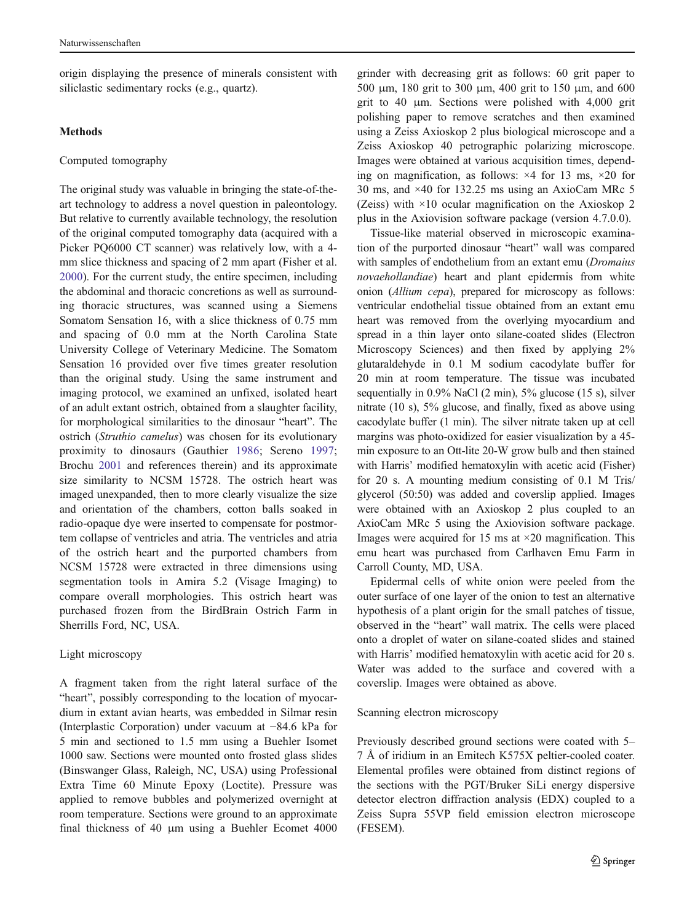origin displaying the presence of minerals consistent with siliclastic sedimentary rocks (e.g., quartz).

## **Methods**

## Computed tomography

The original study was valuable in bringing the state-of-theart technology to address a novel question in paleontology. But relative to currently available technology, the resolution of the original computed tomography data (acquired with a Picker PQ6000 CT scanner) was relatively low, with a 4 mm slice thickness and spacing of 2 mm apart (Fisher et al. [2000\)](#page-8-0). For the current study, the entire specimen, including the abdominal and thoracic concretions as well as surrounding thoracic structures, was scanned using a Siemens Somatom Sensation 16, with a slice thickness of 0.75 mm and spacing of 0.0 mm at the North Carolina State University College of Veterinary Medicine. The Somatom Sensation 16 provided over five times greater resolution than the original study. Using the same instrument and imaging protocol, we examined an unfixed, isolated heart of an adult extant ostrich, obtained from a slaughter facility, for morphological similarities to the dinosaur "heart". The ostrich (Struthio camelus) was chosen for its evolutionary proximity to dinosaurs (Gauthier [1986](#page-8-0); Sereno [1997](#page-8-0); Brochu [2001](#page-7-0) and references therein) and its approximate size similarity to NCSM 15728. The ostrich heart was imaged unexpanded, then to more clearly visualize the size and orientation of the chambers, cotton balls soaked in radio-opaque dye were inserted to compensate for postmortem collapse of ventricles and atria. The ventricles and atria of the ostrich heart and the purported chambers from NCSM 15728 were extracted in three dimensions using segmentation tools in Amira 5.2 (Visage Imaging) to compare overall morphologies. This ostrich heart was purchased frozen from the BirdBrain Ostrich Farm in Sherrills Ford, NC, USA.

## Light microscopy

A fragment taken from the right lateral surface of the "heart", possibly corresponding to the location of myocardium in extant avian hearts, was embedded in Silmar resin (Interplastic Corporation) under vacuum at −84.6 kPa for 5 min and sectioned to 1.5 mm using a Buehler Isomet 1000 saw. Sections were mounted onto frosted glass slides (Binswanger Glass, Raleigh, NC, USA) using Professional Extra Time 60 Minute Epoxy (Loctite). Pressure was applied to remove bubbles and polymerized overnight at room temperature. Sections were ground to an approximate final thickness of 40 μm using a Buehler Ecomet 4000 grinder with decreasing grit as follows: 60 grit paper to 500 μm, 180 grit to 300 μm, 400 grit to 150 μm, and 600 grit to 40 μm. Sections were polished with 4,000 grit polishing paper to remove scratches and then examined using a Zeiss Axioskop 2 plus biological microscope and a Zeiss Axioskop 40 petrographic polarizing microscope. Images were obtained at various acquisition times, depending on magnification, as follows:  $\times$ 4 for 13 ms,  $\times$ 20 for 30 ms, and ×40 for 132.25 ms using an AxioCam MRc 5 (Zeiss) with ×10 ocular magnification on the Axioskop 2 plus in the Axiovision software package (version 4.7.0.0).

Tissue-like material observed in microscopic examination of the purported dinosaur "heart" wall was compared with samples of endothelium from an extant emu (Dromaius novaehollandiae) heart and plant epidermis from white onion (Allium cepa), prepared for microscopy as follows: ventricular endothelial tissue obtained from an extant emu heart was removed from the overlying myocardium and spread in a thin layer onto silane-coated slides (Electron Microscopy Sciences) and then fixed by applying  $2\%$ glutaraldehyde in 0.1 M sodium cacodylate buffer for 20 min at room temperature. The tissue was incubated sequentially in 0.9% NaCl (2 min), 5% glucose (15 s), silver nitrate (10 s), 5% glucose, and finally, fixed as above using cacodylate buffer (1 min). The silver nitrate taken up at cell margins was photo-oxidized for easier visualization by a 45 min exposure to an Ott-lite 20-W grow bulb and then stained with Harris' modified hematoxylin with acetic acid (Fisher) for 20 s. A mounting medium consisting of 0.1 M Tris/ glycerol (50:50) was added and coverslip applied. Images were obtained with an Axioskop 2 plus coupled to an AxioCam MRc 5 using the Axiovision software package. Images were acquired for 15 ms at ×20 magnification. This emu heart was purchased from Carlhaven Emu Farm in Carroll County, MD, USA.

Epidermal cells of white onion were peeled from the outer surface of one layer of the onion to test an alternative hypothesis of a plant origin for the small patches of tissue, observed in the "heart" wall matrix. The cells were placed onto a droplet of water on silane-coated slides and stained with Harris' modified hematoxylin with acetic acid for 20 s. Water was added to the surface and covered with a coverslip. Images were obtained as above.

#### Scanning electron microscopy

Previously described ground sections were coated with 5– 7 Å of iridium in an Emitech K575X peltier-cooled coater. Elemental profiles were obtained from distinct regions of the sections with the PGT/Bruker SiLi energy dispersive detector electron diffraction analysis (EDX) coupled to a Zeiss Supra 55VP field emission electron microscope (FESEM).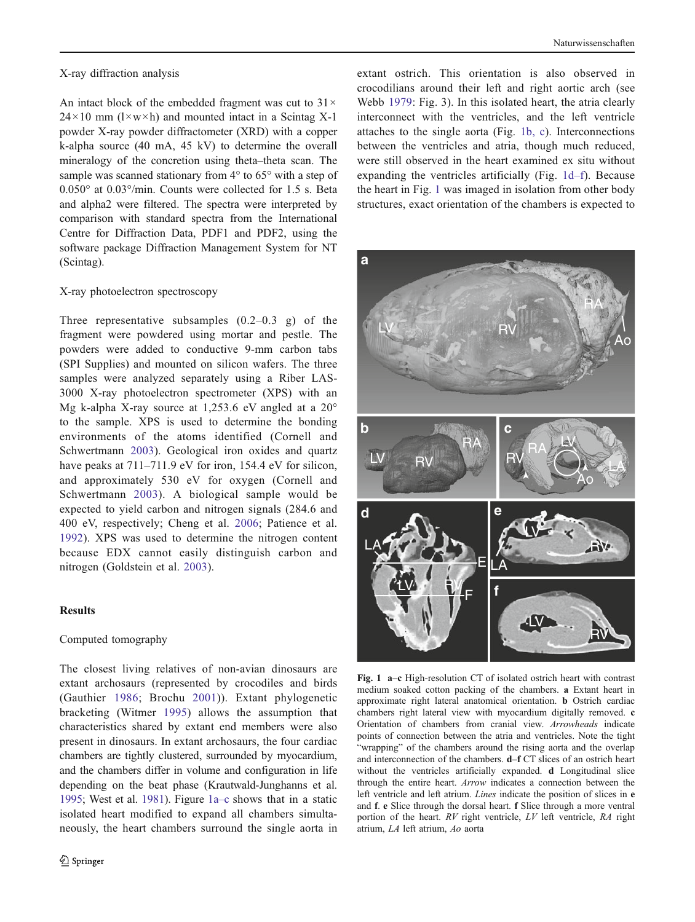<span id="page-3-0"></span>X-ray diffraction analysis

An intact block of the embedded fragment was cut to  $31 \times$  $24 \times 10$  mm ( $1 \times w \times h$ ) and mounted intact in a Scintag X-1 powder X-ray powder diffractometer (XRD) with a copper k-alpha source (40 mA, 45 kV) to determine the overall mineralogy of the concretion using theta–theta scan. The sample was scanned stationary from  $4^{\circ}$  to  $65^{\circ}$  with a step of 0.050° at 0.03°/min. Counts were collected for 1.5 s. Beta and alpha2 were filtered. The spectra were interpreted by comparison with standard spectra from the International Centre for Diffraction Data, PDF1 and PDF2, using the software package Diffraction Management System for NT (Scintag).

## X-ray photoelectron spectroscopy

Three representative subsamples (0.2–0.3 g) of the fragment were powdered using mortar and pestle. The powders were added to conductive 9-mm carbon tabs (SPI Supplies) and mounted on silicon wafers. The three samples were analyzed separately using a Riber LAS-3000 X-ray photoelectron spectrometer (XPS) with an Mg k-alpha X-ray source at 1,253.6 eV angled at a 20° to the sample. XPS is used to determine the bonding environments of the atoms identified (Cornell and Schwertmann [2003](#page-7-0)). Geological iron oxides and quartz have peaks at 711–711.9 eV for iron, 154.4 eV for silicon, and approximately 530 eV for oxygen (Cornell and Schwertmann [2003\)](#page-7-0). A biological sample would be expected to yield carbon and nitrogen signals (284.6 and 400 eV, respectively; Cheng et al. [2006;](#page-7-0) Patience et al. [1992](#page-8-0)). XPS was used to determine the nitrogen content because EDX cannot easily distinguish carbon and nitrogen (Goldstein et al. [2003\)](#page-8-0).

### Results

# Computed tomography

The closest living relatives of non-avian dinosaurs are extant archosaurs (represented by crocodiles and birds (Gauthier [1986;](#page-8-0) Brochu [2001\)](#page-7-0)). Extant phylogenetic bracketing (Witmer [1995](#page-8-0)) allows the assumption that characteristics shared by extant end members were also present in dinosaurs. In extant archosaurs, the four cardiac chambers are tightly clustered, surrounded by myocardium, and the chambers differ in volume and configuration in life depending on the beat phase (Krautwald-Junghanns et al. [1995;](#page-8-0) West et al. [1981\)](#page-8-0). Figure 1a–c shows that in a static isolated heart modified to expand all chambers simultaneously, the heart chambers surround the single aorta in

extant ostrich. This orientation is also observed in crocodilians around their left and right aortic arch (see Webb [1979](#page-8-0): Fig. 3). In this isolated heart, the atria clearly interconnect with the ventricles, and the left ventricle attaches to the single aorta (Fig. 1b, c). Interconnections between the ventricles and atria, though much reduced, were still observed in the heart examined ex situ without expanding the ventricles artificially (Fig. 1d–f). Because the heart in Fig. 1 was imaged in isolation from other body structures, exact orientation of the chambers is expected to



Fig. 1 a–c High-resolution CT of isolated ostrich heart with contrast medium soaked cotton packing of the chambers. a Extant heart in approximate right lateral anatomical orientation. b Ostrich cardiac chambers right lateral view with myocardium digitally removed. c Orientation of chambers from cranial view. Arrowheads indicate points of connection between the atria and ventricles. Note the tight "wrapping" of the chambers around the rising aorta and the overlap and interconnection of the chambers. d–f CT slices of an ostrich heart without the ventricles artificially expanded. d Longitudinal slice through the entire heart. Arrow indicates a connection between the left ventricle and left atrium. Lines indicate the position of slices in e and f. e Slice through the dorsal heart. f Slice through a more ventral portion of the heart. RV right ventricle, LV left ventricle, RA right atrium, LA left atrium, Ao aorta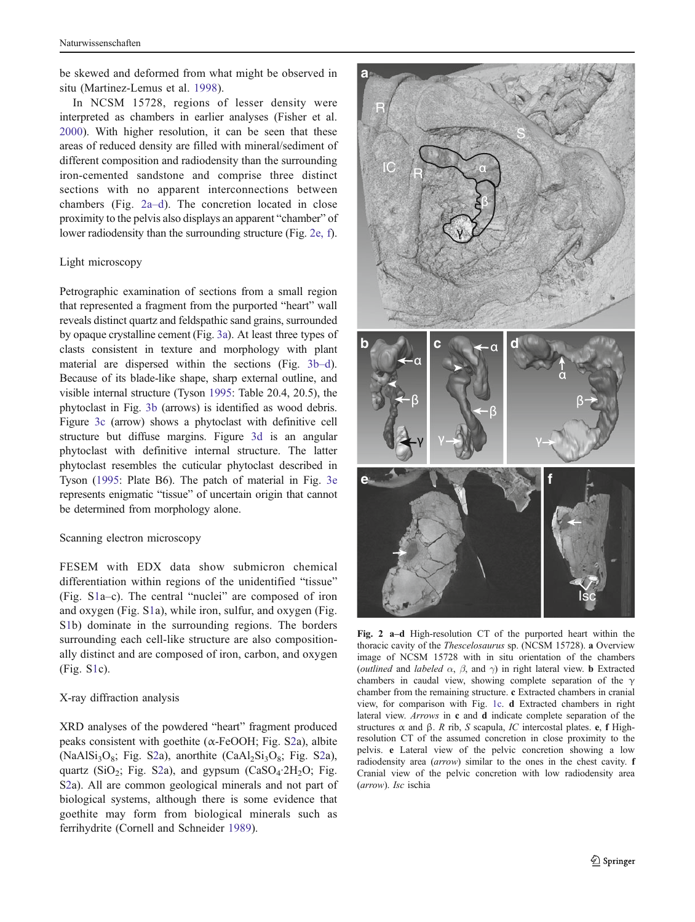<span id="page-4-0"></span>be skewed and deformed from what might be observed in situ (Martinez-Lemus et al. [1998](#page-8-0)).

In NCSM 15728, regions of lesser density were interpreted as chambers in earlier analyses (Fisher et al. [2000\)](#page-8-0). With higher resolution, it can be seen that these areas of reduced density are filled with mineral/sediment of different composition and radiodensity than the surrounding iron-cemented sandstone and comprise three distinct sections with no apparent interconnections between chambers (Fig. 2a–d). The concretion located in close proximity to the pelvis also displays an apparent "chamber" of lower radiodensity than the surrounding structure (Fig. 2e, f).

## Light microscopy

Petrographic examination of sections from a small region that represented a fragment from the purported "heart" wall reveals distinct quartz and feldspathic sand grains, surrounded by opaque crystalline cement (Fig. [3a](#page-5-0)). At least three types of clasts consistent in texture and morphology with plant material are dispersed within the sections (Fig. [3b](#page-5-0)–d). Because of its blade-like shape, sharp external outline, and visible internal structure (Tyson [1995:](#page-8-0) Table 20.4, 20.5), the phytoclast in Fig. [3b](#page-5-0) (arrows) is identified as wood debris. Figure [3c](#page-5-0) (arrow) shows a phytoclast with definitive cell structure but diffuse margins. Figure [3d](#page-5-0) is an angular phytoclast with definitive internal structure. The latter phytoclast resembles the cuticular phytoclast described in Tyson [\(1995](#page-8-0): Plate B6). The patch of material in Fig. [3e](#page-5-0) represents enigmatic "tissue" of uncertain origin that cannot be determined from morphology alone.

## Scanning electron microscopy

FESEM with EDX data show submicron chemical differentiation within regions of the unidentified "tissue" (Fig. S1a–c). The central "nuclei" are composed of iron and oxygen (Fig. S1a), while iron, sulfur, and oxygen (Fig. S1b) dominate in the surrounding regions. The borders surrounding each cell-like structure are also compositionally distinct and are composed of iron, carbon, and oxygen (Fig. S1c).

## X-ray diffraction analysis

XRD analyses of the powdered "heart" fragment produced peaks consistent with goethite ( $\alpha$ -FeOOH; Fig. S2a), albite  $(NaAlSi<sub>3</sub>O<sub>8</sub>; Fig. S2a)$ , anorthite  $(CaAl<sub>2</sub>Si<sub>3</sub>O<sub>8</sub>; Fig. S2a)$ , quartz (SiO<sub>2</sub>; Fig. S2a), and gypsum (CaSO<sub>4</sub>⋅2H<sub>2</sub>O; Fig. S2a). All are common geological minerals and not part of biological systems, although there is some evidence that goethite may form from biological minerals such as ferrihydrite (Cornell and Schneider [1989\)](#page-7-0).



Fig. 2 a–d High-resolution CT of the purported heart within the thoracic cavity of the Thescelosaurus sp. (NCSM 15728). a Overview image of NCSM 15728 with in situ orientation of the chambers (outlined and labeled  $\alpha$ ,  $\beta$ , and  $\gamma$ ) in right lateral view. **b** Extracted chambers in caudal view, showing complete separation of the  $\gamma$ chamber from the remaining structure. c Extracted chambers in cranial view, for comparison with Fig. [1c](#page-3-0). d Extracted chambers in right lateral view. Arrows in c and d indicate complete separation of the structures  $\alpha$  and  $\beta$ . R rib, S scapula, IC intercostal plates. e, f Highresolution CT of the assumed concretion in close proximity to the pelvis. e Lateral view of the pelvic concretion showing a low radiodensity area (arrow) similar to the ones in the chest cavity. f Cranial view of the pelvic concretion with low radiodensity area (arrow). Isc ischia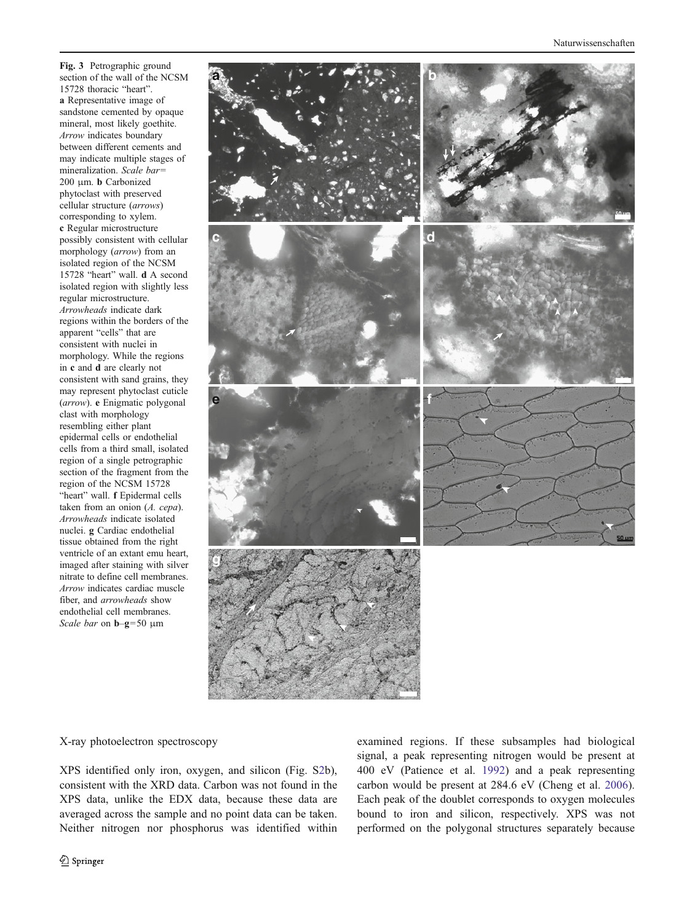<span id="page-5-0"></span>Fig. 3 Petrographic ground section of the wall of the NCSM 15728 thoracic "heart". a Representative image of sandstone cemented by opaque mineral, most likely goethite. Arrow indicates boundary between different cements and may indicate multiple stages of mineralization. Scale bar= 200 μm. b Carbonized phytoclast with preserved cellular structure (arrows) corresponding to xylem. c Regular microstructure possibly consistent with cellular morphology (arrow) from an isolated region of the NCSM 15728 "heart" wall. d A second isolated region with slightly less regular microstructure. Arrowheads indicate dark regions within the borders of the apparent "cells" that are consistent with nuclei in morphology. While the regions in c and d are clearly not consistent with sand grains, they may represent phytoclast cuticle (arrow). e Enigmatic polygonal clast with morphology resembling either plant epidermal cells or endothelial cells from a third small, isolated region of a single petrographic section of the fragment from the region of the NCSM 15728 "heart" wall. f Epidermal cells taken from an onion (A. cepa). Arrowheads indicate isolated nuclei. g Cardiac endothelial tissue obtained from the right ventricle of an extant emu heart, imaged after staining with silver nitrate to define cell membranes. Arrow indicates cardiac muscle fiber, and arrowheads show endothelial cell membranes. Scale bar on b–g=50 μm



#### X-ray photoelectron spectroscopy

XPS identified only iron, oxygen, and silicon (Fig. S2b), consistent with the XRD data. Carbon was not found in the XPS data, unlike the EDX data, because these data are averaged across the sample and no point data can be taken. Neither nitrogen nor phosphorus was identified within examined regions. If these subsamples had biological signal, a peak representing nitrogen would be present at 400 eV (Patience et al. [1992](#page-8-0)) and a peak representing carbon would be present at 284.6 eV (Cheng et al. [2006\)](#page-7-0). Each peak of the doublet corresponds to oxygen molecules bound to iron and silicon, respectively. XPS was not performed on the polygonal structures separately because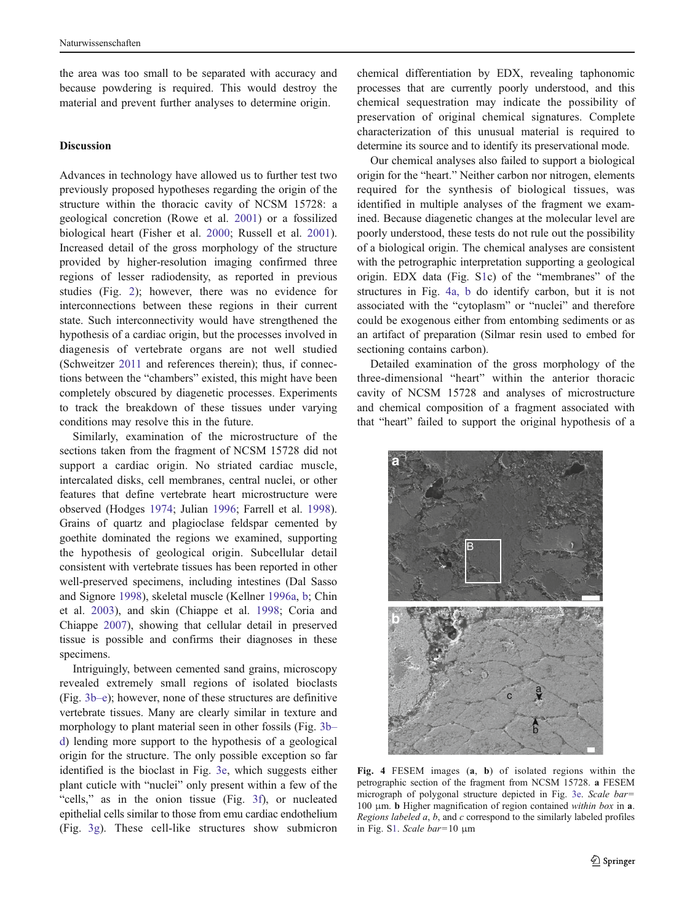the area was too small to be separated with accuracy and because powdering is required. This would destroy the material and prevent further analyses to determine origin.

### **Discussion**

Advances in technology have allowed us to further test two previously proposed hypotheses regarding the origin of the structure within the thoracic cavity of NCSM 15728: a geological concretion (Rowe et al. [2001](#page-8-0)) or a fossilized biological heart (Fisher et al. [2000](#page-8-0); Russell et al. [2001](#page-8-0)). Increased detail of the gross morphology of the structure provided by higher-resolution imaging confirmed three regions of lesser radiodensity, as reported in previous studies (Fig. [2\)](#page-4-0); however, there was no evidence for interconnections between these regions in their current state. Such interconnectivity would have strengthened the hypothesis of a cardiac origin, but the processes involved in diagenesis of vertebrate organs are not well studied (Schweitzer [2011](#page-8-0) and references therein); thus, if connections between the "chambers" existed, this might have been completely obscured by diagenetic processes. Experiments to track the breakdown of these tissues under varying conditions may resolve this in the future.

Similarly, examination of the microstructure of the sections taken from the fragment of NCSM 15728 did not support a cardiac origin. No striated cardiac muscle, intercalated disks, cell membranes, central nuclei, or other features that define vertebrate heart microstructure were observed (Hodges [1974](#page-8-0); Julian [1996](#page-8-0); Farrell et al. [1998](#page-8-0)). Grains of quartz and plagioclase feldspar cemented by goethite dominated the regions we examined, supporting the hypothesis of geological origin. Subcellular detail consistent with vertebrate tissues has been reported in other well-preserved specimens, including intestines (Dal Sasso and Signore [1998\)](#page-7-0), skeletal muscle (Kellner [1996a,](#page-8-0) [b](#page-8-0); Chin et al. [2003](#page-7-0)), and skin (Chiappe et al. [1998;](#page-7-0) Coria and Chiappe [2007\)](#page-7-0), showing that cellular detail in preserved tissue is possible and confirms their diagnoses in these specimens.

Intriguingly, between cemented sand grains, microscopy revealed extremely small regions of isolated bioclasts (Fig. [3b](#page-5-0)–e); however, none of these structures are definitive vertebrate tissues. Many are clearly similar in texture and morphology to plant material seen in other fossils (Fig. [3b](#page-5-0)– [d](#page-5-0)) lending more support to the hypothesis of a geological origin for the structure. The only possible exception so far identified is the bioclast in Fig. [3e,](#page-5-0) which suggests either plant cuticle with "nuclei" only present within a few of the "cells," as in the onion tissue (Fig. [3f\)](#page-5-0), or nucleated epithelial cells similar to those from emu cardiac endothelium (Fig. [3g\)](#page-5-0). These cell-like structures show submicron

chemical differentiation by EDX, revealing taphonomic processes that are currently poorly understood, and this chemical sequestration may indicate the possibility of preservation of original chemical signatures. Complete characterization of this unusual material is required to determine its source and to identify its preservational mode.

Our chemical analyses also failed to support a biological origin for the "heart." Neither carbon nor nitrogen, elements required for the synthesis of biological tissues, was identified in multiple analyses of the fragment we examined. Because diagenetic changes at the molecular level are poorly understood, these tests do not rule out the possibility of a biological origin. The chemical analyses are consistent with the petrographic interpretation supporting a geological origin. EDX data (Fig. S1c) of the "membranes" of the structures in Fig. 4a, b do identify carbon, but it is not associated with the "cytoplasm" or "nuclei" and therefore could be exogenous either from entombing sediments or as an artifact of preparation (Silmar resin used to embed for sectioning contains carbon).

Detailed examination of the gross morphology of the three-dimensional "heart" within the anterior thoracic cavity of NCSM 15728 and analyses of microstructure and chemical composition of a fragment associated with that "heart" failed to support the original hypothesis of a



Fig. 4 FESEM images (a, b) of isolated regions within the petrographic section of the fragment from NCSM 15728. a FESEM micrograph of polygonal structure depicted in Fig. [3e](#page-5-0). Scale bar= 100 μm. b Higher magnification of region contained within box in a. Regions labeled  $a$ ,  $b$ , and  $c$  correspond to the similarly labeled profiles in Fig. S1. Scale bar=10  $\mu$ m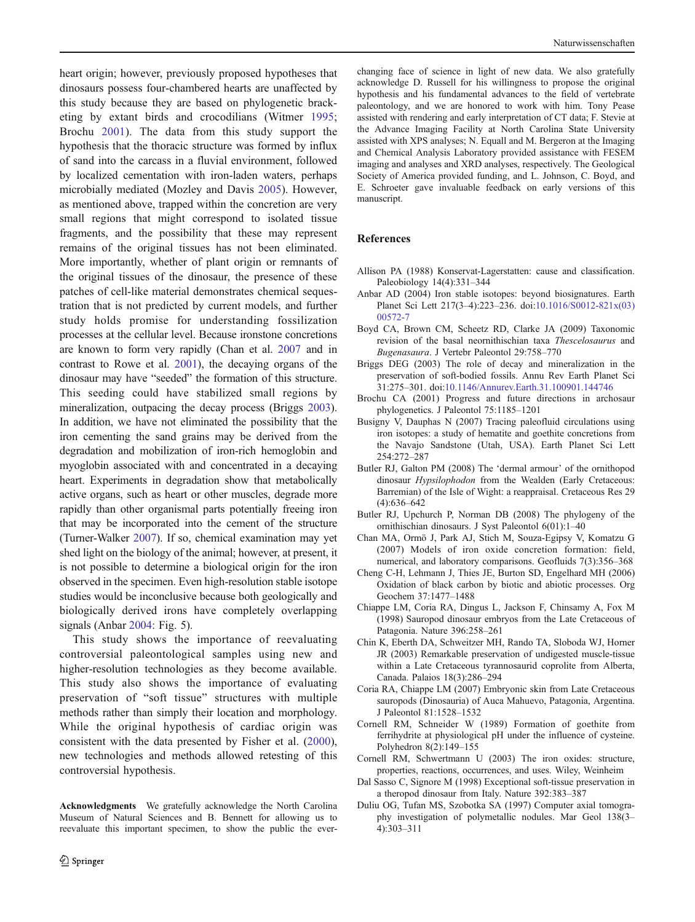<span id="page-7-0"></span>heart origin; however, previously proposed hypotheses that dinosaurs possess four-chambered hearts are unaffected by this study because they are based on phylogenetic bracketing by extant birds and crocodilians (Witmer [1995](#page-8-0); Brochu 2001). The data from this study support the hypothesis that the thoracic structure was formed by influx of sand into the carcass in a fluvial environment, followed by localized cementation with iron-laden waters, perhaps microbially mediated (Mozley and Davis [2005](#page-8-0)). However, as mentioned above, trapped within the concretion are very small regions that might correspond to isolated tissue fragments, and the possibility that these may represent remains of the original tissues has not been eliminated. More importantly, whether of plant origin or remnants of the original tissues of the dinosaur, the presence of these patches of cell-like material demonstrates chemical sequestration that is not predicted by current models, and further study holds promise for understanding fossilization processes at the cellular level. Because ironstone concretions are known to form very rapidly (Chan et al. 2007 and in contrast to Rowe et al. [2001](#page-8-0)), the decaying organs of the dinosaur may have "seeded" the formation of this structure. This seeding could have stabilized small regions by mineralization, outpacing the decay process (Briggs 2003). In addition, we have not eliminated the possibility that the iron cementing the sand grains may be derived from the degradation and mobilization of iron-rich hemoglobin and myoglobin associated with and concentrated in a decaying heart. Experiments in degradation show that metabolically active organs, such as heart or other muscles, degrade more rapidly than other organismal parts potentially freeing iron that may be incorporated into the cement of the structure (Turner-Walker [2007\)](#page-8-0). If so, chemical examination may yet shed light on the biology of the animal; however, at present, it is not possible to determine a biological origin for the iron observed in the specimen. Even high-resolution stable isotope studies would be inconclusive because both geologically and biologically derived irons have completely overlapping signals (Anbar 2004: Fig. 5).

This study shows the importance of reevaluating controversial paleontological samples using new and higher-resolution technologies as they become available. This study also shows the importance of evaluating preservation of "soft tissue" structures with multiple methods rather than simply their location and morphology. While the original hypothesis of cardiac origin was consistent with the data presented by Fisher et al. [\(2000](#page-8-0)), new technologies and methods allowed retesting of this controversial hypothesis.

Acknowledgments We gratefully acknowledge the North Carolina Museum of Natural Sciences and B. Bennett for allowing us to reevaluate this important specimen, to show the public the everchanging face of science in light of new data. We also gratefully acknowledge D. Russell for his willingness to propose the original hypothesis and his fundamental advances to the field of vertebrate paleontology, and we are honored to work with him. Tony Pease assisted with rendering and early interpretation of CT data; F. Stevie at the Advance Imaging Facility at North Carolina State University assisted with XPS analyses; N. Equall and M. Bergeron at the Imaging and Chemical Analysis Laboratory provided assistance with FESEM imaging and analyses and XRD analyses, respectively. The Geological Society of America provided funding, and L. Johnson, C. Boyd, and E. Schroeter gave invaluable feedback on early versions of this manuscript.

# References

- Allison PA (1988) Konservat-Lagerstatten: cause and classification. Paleobiology 14(4):331–344
- Anbar AD (2004) Iron stable isotopes: beyond biosignatures. Earth Planet Sci Lett 217(3–4):223–236. doi[:10.1016/S0012-821x\(03\)](http://dx.doi.org/10.1016/S0012-821x(03)00572-7) [00572-7](http://dx.doi.org/10.1016/S0012-821x(03)00572-7)
- Boyd CA, Brown CM, Scheetz RD, Clarke JA (2009) Taxonomic revision of the basal neornithischian taxa Thescelosaurus and Bugenasaura. J Vertebr Paleontol 29:758–770
- Briggs DEG (2003) The role of decay and mineralization in the preservation of soft-bodied fossils. Annu Rev Earth Planet Sci 31:275–301. doi[:10.1146/Annurev.Earth.31.100901.144746](http://dx.doi.org/10.1146/Annurev.Earth.31.100901.144746)
- Brochu CA (2001) Progress and future directions in archosaur phylogenetics. J Paleontol 75:1185–1201
- Busigny V, Dauphas N (2007) Tracing paleofluid circulations using iron isotopes: a study of hematite and goethite concretions from the Navajo Sandstone (Utah, USA). Earth Planet Sci Lett 254:272–287
- Butler RJ, Galton PM (2008) The 'dermal armour' of the ornithopod dinosaur Hypsilophodon from the Wealden (Early Cretaceous: Barremian) of the Isle of Wight: a reappraisal. Cretaceous Res 29 (4):636–642
- Butler RJ, Upchurch P, Norman DB (2008) The phylogeny of the ornithischian dinosaurs. J Syst Paleontol 6(01):1–40
- Chan MA, Ormö J, Park AJ, Stich M, Souza-Egipsy V, Komatzu G (2007) Models of iron oxide concretion formation: field, numerical, and laboratory comparisons. Geofluids 7(3):356–368
- Cheng C-H, Lehmann J, Thies JE, Burton SD, Engelhard MH (2006) Oxidation of black carbon by biotic and abiotic processes. Org Geochem 37:1477–1488
- Chiappe LM, Coria RA, Dingus L, Jackson F, Chinsamy A, Fox M (1998) Sauropod dinosaur embryos from the Late Cretaceous of Patagonia. Nature 396:258–261
- Chin K, Eberth DA, Schweitzer MH, Rando TA, Sloboda WJ, Horner JR (2003) Remarkable preservation of undigested muscle-tissue within a Late Cretaceous tyrannosaurid coprolite from Alberta, Canada. Palaios 18(3):286–294
- Coria RA, Chiappe LM (2007) Embryonic skin from Late Cretaceous sauropods (Dinosauria) of Auca Mahuevo, Patagonia, Argentina. J Paleontol 81:1528–1532
- Cornell RM, Schneider W (1989) Formation of goethite from ferrihydrite at physiological pH under the influence of cysteine. Polyhedron 8(2):149–155
- Cornell RM, Schwertmann U (2003) The iron oxides: structure, properties, reactions, occurrences, and uses. Wiley, Weinheim
- Dal Sasso C, Signore M (1998) Exceptional soft-tissue preservation in a theropod dinosaur from Italy. Nature 392:383–387
- Duliu OG, Tufan MS, Szobotka SA (1997) Computer axial tomography investigation of polymetallic nodules. Mar Geol 138(3– 4):303–311